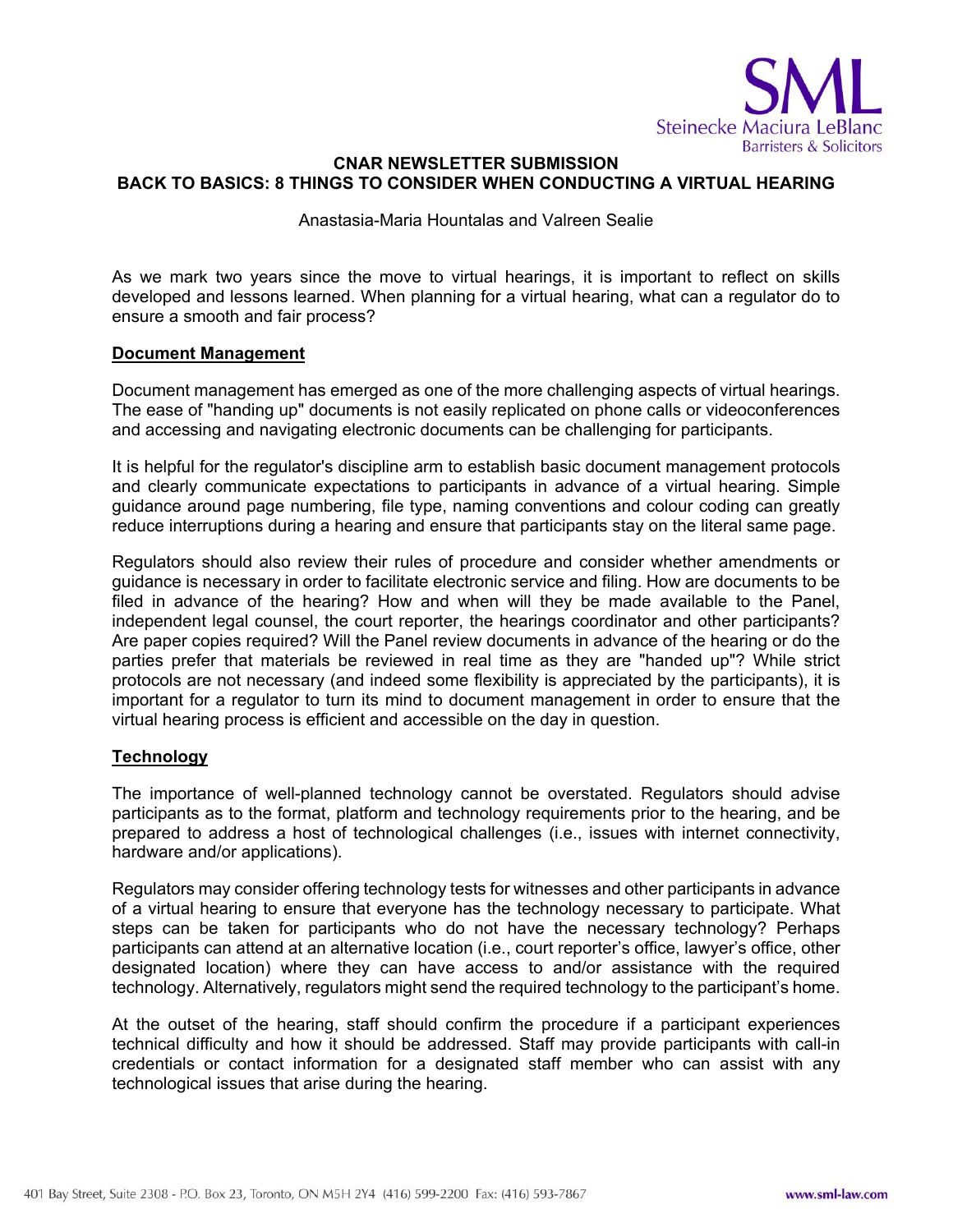

# **CNAR NEWSLETTER SUBMISSION BACK TO BASICS: 8 THINGS TO CONSIDER WHEN CONDUCTING A VIRTUAL HEARING**

#### Anastasia-Maria Hountalas and Valreen Sealie

As we mark two years since the move to virtual hearings, it is important to reflect on skills developed and lessons learned. When planning for a virtual hearing, what can a regulator do to ensure a smooth and fair process?

#### **Document Management**

Document management has emerged as one of the more challenging aspects of virtual hearings. The ease of "handing up" documents is not easily replicated on phone calls or videoconferences and accessing and navigating electronic documents can be challenging for participants.

It is helpful for the regulator's discipline arm to establish basic document management protocols and clearly communicate expectations to participants in advance of a virtual hearing. Simple guidance around page numbering, file type, naming conventions and colour coding can greatly reduce interruptions during a hearing and ensure that participants stay on the literal same page.

Regulators should also review their rules of procedure and consider whether amendments or guidance is necessary in order to facilitate electronic service and filing. How are documents to be filed in advance of the hearing? How and when will they be made available to the Panel, independent legal counsel, the court reporter, the hearings coordinator and other participants? Are paper copies required? Will the Panel review documents in advance of the hearing or do the parties prefer that materials be reviewed in real time as they are "handed up"? While strict protocols are not necessary (and indeed some flexibility is appreciated by the participants), it is important for a regulator to turn its mind to document management in order to ensure that the virtual hearing process is efficient and accessible on the day in question.

# **Technology**

The importance of well-planned technology cannot be overstated. Regulators should advise participants as to the format, platform and technology requirements prior to the hearing, and be prepared to address a host of technological challenges (i.e., issues with internet connectivity, hardware and/or applications).

Regulators may consider offering technology tests for witnesses and other participants in advance of a virtual hearing to ensure that everyone has the technology necessary to participate. What steps can be taken for participants who do not have the necessary technology? Perhaps participants can attend at an alternative location (i.e., court reporter's office, lawyer's office, other designated location) where they can have access to and/or assistance with the required technology. Alternatively, regulators might send the required technology to the participant's home.

At the outset of the hearing, staff should confirm the procedure if a participant experiences technical difficulty and how it should be addressed. Staff may provide participants with call-in credentials or contact information for a designated staff member who can assist with any technological issues that arise during the hearing.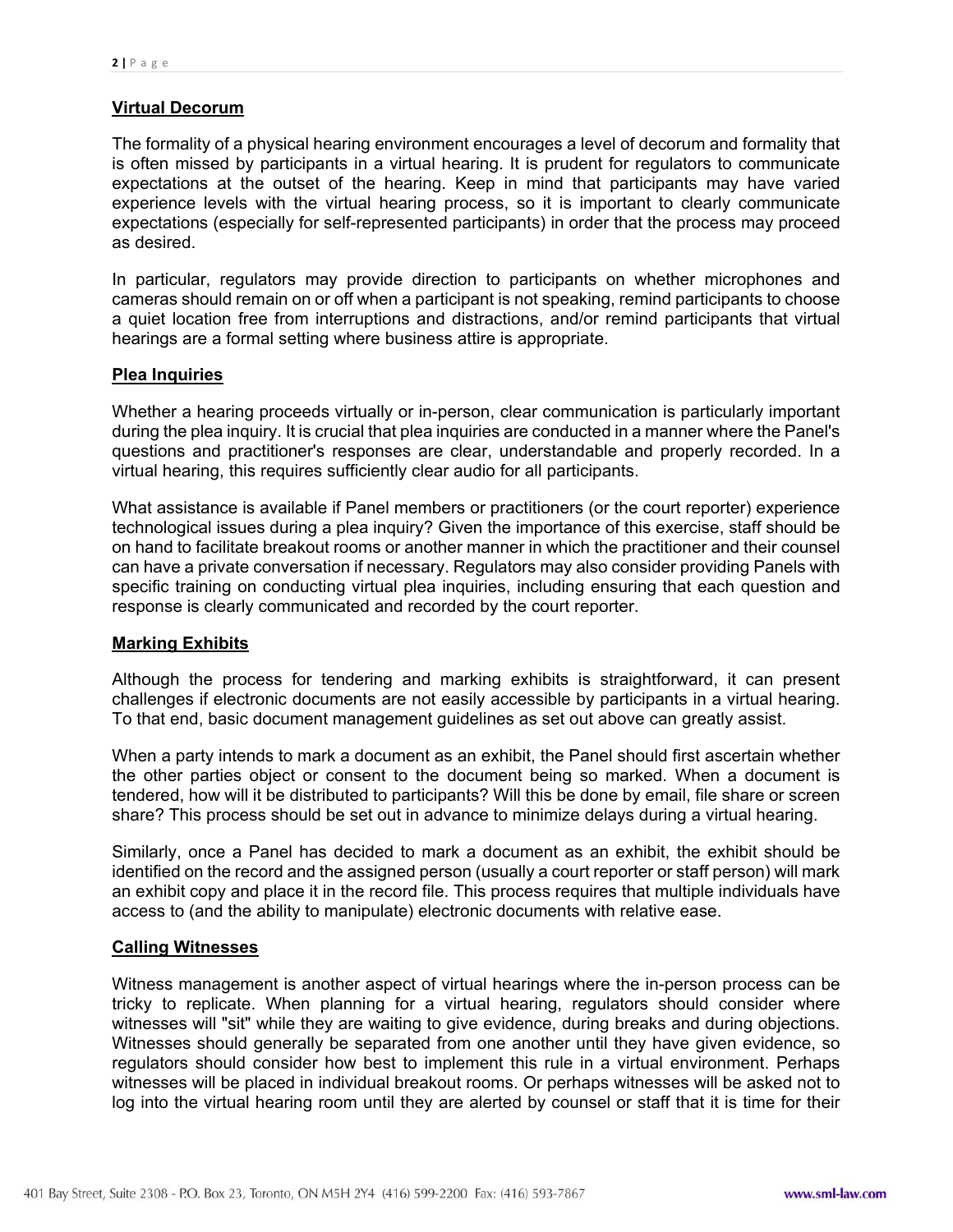# **Virtual Decorum**

The formality of a physical hearing environment encourages a level of decorum and formality that is often missed by participants in a virtual hearing. It is prudent for regulators to communicate expectations at the outset of the hearing. Keep in mind that participants may have varied experience levels with the virtual hearing process, so it is important to clearly communicate expectations (especially for self-represented participants) in order that the process may proceed as desired.

In particular, regulators may provide direction to participants on whether microphones and cameras should remain on or off when a participant is not speaking, remind participants to choose a quiet location free from interruptions and distractions, and/or remind participants that virtual hearings are a formal setting where business attire is appropriate.

# **Plea Inquiries**

Whether a hearing proceeds virtually or in-person, clear communication is particularly important during the plea inquiry. It is crucial that plea inquiries are conducted in a manner where the Panel's questions and practitioner's responses are clear, understandable and properly recorded. In a virtual hearing, this requires sufficiently clear audio for all participants.

What assistance is available if Panel members or practitioners (or the court reporter) experience technological issues during a plea inquiry? Given the importance of this exercise, staff should be on hand to facilitate breakout rooms or another manner in which the practitioner and their counsel can have a private conversation if necessary. Regulators may also consider providing Panels with specific training on conducting virtual plea inquiries, including ensuring that each question and response is clearly communicated and recorded by the court reporter.

#### **Marking Exhibits**

Although the process for tendering and marking exhibits is straightforward, it can present challenges if electronic documents are not easily accessible by participants in a virtual hearing. To that end, basic document management guidelines as set out above can greatly assist.

When a party intends to mark a document as an exhibit, the Panel should first ascertain whether the other parties object or consent to the document being so marked. When a document is tendered, how will it be distributed to participants? Will this be done by email, file share or screen share? This process should be set out in advance to minimize delays during a virtual hearing.

Similarly, once a Panel has decided to mark a document as an exhibit, the exhibit should be identified on the record and the assigned person (usually a court reporter or staff person) will mark an exhibit copy and place it in the record file. This process requires that multiple individuals have access to (and the ability to manipulate) electronic documents with relative ease.

#### **Calling Witnesses**

Witness management is another aspect of virtual hearings where the in-person process can be tricky to replicate. When planning for a virtual hearing, regulators should consider where witnesses will "sit" while they are waiting to give evidence, during breaks and during objections. Witnesses should generally be separated from one another until they have given evidence, so regulators should consider how best to implement this rule in a virtual environment. Perhaps witnesses will be placed in individual breakout rooms. Or perhaps witnesses will be asked not to log into the virtual hearing room until they are alerted by counsel or staff that it is time for their